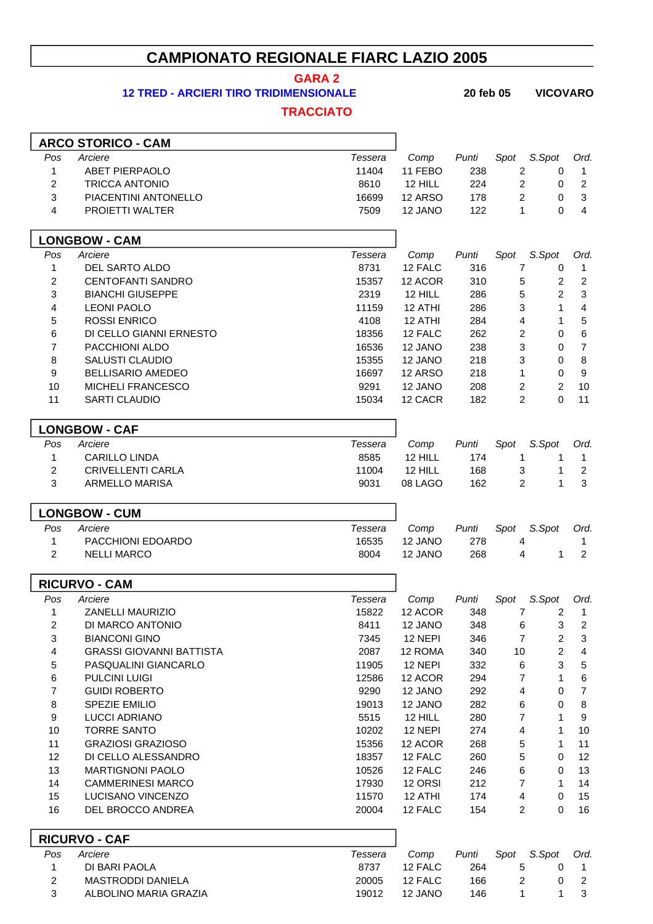## **CAMPIONATO REGIONALE FIARC LAZIO 2005**

**GARA 2**

**TRACCIATO**

**12 TRED - ARCIERI TIRO TRIDIMENSIONALE 20 feb 05 VICOVARO**

|                     | <b>ARCO STORICO - CAM</b>       |                |         |       |                |                           |                  |
|---------------------|---------------------------------|----------------|---------|-------|----------------|---------------------------|------------------|
| Pos                 | Arciere                         | Tessera        | Comp    | Punti | Spot           | S.Spot                    | Ord.             |
| 1                   | <b>ABET PIERPAOLO</b>           | 11404          | 11 FEBO | 238   | $\overline{c}$ | 0                         | 1                |
| $\overline{c}$      | <b>TRICCA ANTONIO</b>           | 8610           | 12 HILL | 224   | $\overline{c}$ | 0                         | $\overline{2}$   |
| 3                   | PIACENTINI ANTONELLO            | 16699          | 12 ARSO | 178   | $\overline{c}$ | 0                         | $\sqrt{3}$       |
| $\overline{4}$      | PROIETTI WALTER                 | 7509           | 12 JANO | 122   | 1              | $\Omega$                  | $\overline{4}$   |
|                     | <b>LONGBOW - CAM</b>            |                |         |       |                |                           |                  |
| Pos                 | Arciere                         | Tessera        | Comp    | Punti | Spot           | S.Spot                    | Ord.             |
| $\mathbf{1}$        | DEL SARTO ALDO                  | 8731           | 12 FALC | 316   | 7              | 0                         | 1                |
| 2                   | <b>CENTOFANTI SANDRO</b>        | 15357          | 12 ACOR | 310   | 5              | $\overline{c}$            | $\overline{2}$   |
| 3                   | <b>BIANCHI GIUSEPPE</b>         | 2319           | 12 HILL | 286   | 5              | $\overline{a}$            | $\sqrt{3}$       |
| 4                   | <b>LEONI PAOLO</b>              | 11159          | 12 ATHI | 286   | 3              | $\mathbf{1}$              | $\overline{4}$   |
| 5                   | <b>ROSSI ENRICO</b>             | 4108           | 12 ATHI | 284   | 4              | 1                         | $\mathbf 5$      |
| 6                   | DI CELLO GIANNI ERNESTO         | 18356          | 12 FALC | 262   | 2              | 0                         | $\,6$            |
| 7                   | PACCHIONI ALDO                  | 16536          | 12 JANO | 238   | 3              | 0                         | $\boldsymbol{7}$ |
| 8                   | <b>SALUSTI CLAUDIO</b>          | 15355          | 12 JANO | 218   | 3              | $\pmb{0}$                 | $\, 8$           |
| 9                   | <b>BELLISARIO AMEDEO</b>        | 16697          | 12 ARSO | 218   | 1              | $\mathbf 0$               | $\boldsymbol{9}$ |
| 10                  | MICHELI FRANCESCO               | 9291           | 12 JANO | 208   | 2              | $\overline{2}$            | 10               |
| 11                  | <b>SARTI CLAUDIO</b>            | 15034          | 12 CACR | 182   | $\overline{c}$ | $\Omega$                  | 11               |
|                     | <b>LONGBOW - CAF</b>            |                |         |       |                |                           |                  |
| Pos                 | Arciere                         | <b>Tessera</b> | Comp    | Punti | Spot           | S.Spot                    | Ord.             |
| $\mathbf{1}$        | <b>CARILLO LINDA</b>            | 8585           | 12 HILL | 174   | 1              | 1                         | $\mathbf{1}$     |
| $\overline{2}$      | <b>CRIVELLENTI CARLA</b>        | 11004          | 12 HILL | 168   | 3              | $\mathbf{1}$              | $\overline{2}$   |
| 3                   | <b>ARMELLO MARISA</b>           | 9031           | 08 LAGO | 162   | 2              | $\mathbf{1}$              | 3                |
|                     | <b>LONGBOW - CUM</b>            |                |         |       |                |                           |                  |
| Pos                 | Arciere                         | <b>Tessera</b> | Comp    | Punti | Spot           | S.Spot                    | Ord.             |
| $\mathbf{1}$        | PACCHIONI EDOARDO               | 16535          | 12 JANO | 278   | 4              |                           | 1                |
| $\overline{2}$      | <b>NELLI MARCO</b>              | 8004           | 12 JANO | 268   | 4              | 1                         | $\overline{2}$   |
|                     | <b>RICURVO - CAM</b>            |                |         |       |                |                           |                  |
| Pos                 | Arciere                         | Tessera        | Comp    | Punti | Spot           | S.Spot                    | Ord.             |
| 1                   | ZANELLI MAURIZIO                | 15822          | 12 ACOR | 348   | $\overline{7}$ | 2                         | $\mathbf{1}$     |
| 2                   | DI MARCO ANTONIO                | 8411           | 12 JANO | 348   | 6              | $\ensuremath{\mathsf{3}}$ | $\sqrt{2}$       |
| 3                   | <b>BIANCONI GINO</b>            | 7345           | 12 NEPI | 346   | 7              | $\overline{\mathbf{c}}$   | $\sqrt{3}$       |
| 4                   | <b>GRASSI GIOVANNI BATTISTA</b> | 2087           | 12 ROMA | 340   | 10             | $\overline{c}$            | $\overline{4}$   |
| 5                   | PASQUALINI GIANCARLO            | 11905          | 12 NEPI | 332   | $\,6$          | 3                         | $\mathbf 5$      |
| 6                   | PULCINI LUIGI                   | 12586          | 12 ACOR | 294   | 7              | 1                         | $\,6$            |
| 7                   | <b>GUIDI ROBERTO</b>            | 9290           | 12 JANO | 292   | 4              | $\pmb{0}$                 | $\boldsymbol{7}$ |
| 8                   | SPEZIE EMILIO                   | 19013          | 12 JANO | 282   | 6              | 0                         | $\bf8$           |
| 9                   | <b>LUCCI ADRIANO</b>            | 5515           | 12 HILL | 280   | $\overline{7}$ | 1                         | $\boldsymbol{9}$ |
| 10                  | <b>TORRE SANTO</b>              | 10202          | 12 NEPI | 274   | 4              | 1                         | 10               |
| 11                  | <b>GRAZIOSI GRAZIOSO</b>        | 15356          | 12 ACOR | 268   | 5              | 1                         | 11               |
| 12                  | DI CELLO ALESSANDRO             | 18357          | 12 FALC | 260   | 5              | 0                         | 12               |
| 13                  | <b>MARTIGNONI PAOLO</b>         | 10526          | 12 FALC | 246   | 6              | 0                         | 13               |
| 14                  | <b>CAMMERINESI MARCO</b>        | 17930          | 12 ORSI | 212   | 7              | 1                         | 14               |
| 15                  | LUCISANO VINCENZO               | 11570          | 12 ATHI | 174   | 4              | $\mathbf 0$               | 15<br>16         |
| 16                  | DEL BROCCO ANDREA               | 20004          | 12 FALC | 154   | $\overline{c}$ | $\mathbf 0$               |                  |
|                     | <b>RICURVO - CAF</b>            |                |         |       |                |                           |                  |
| Pos                 | Arciere                         | Tessera        | Comp    | Punti | Spot           | S.Spot                    | Ord.             |
| 1                   | DI BARI PAOLA                   | 8737           | 12 FALC | 264   | 5              | 0                         | 1                |
| $\overline{c}$<br>3 | <b>MASTRODDI DANIELA</b>        | 20005          | 12 FALC | 166   | $\overline{c}$ | 0                         | $\overline{2}$   |
|                     | ALBOLINO MARIA GRAZIA           | 19012          | 12 JANO | 146   | 1              | 1                         | $\mathbf{3}$     |